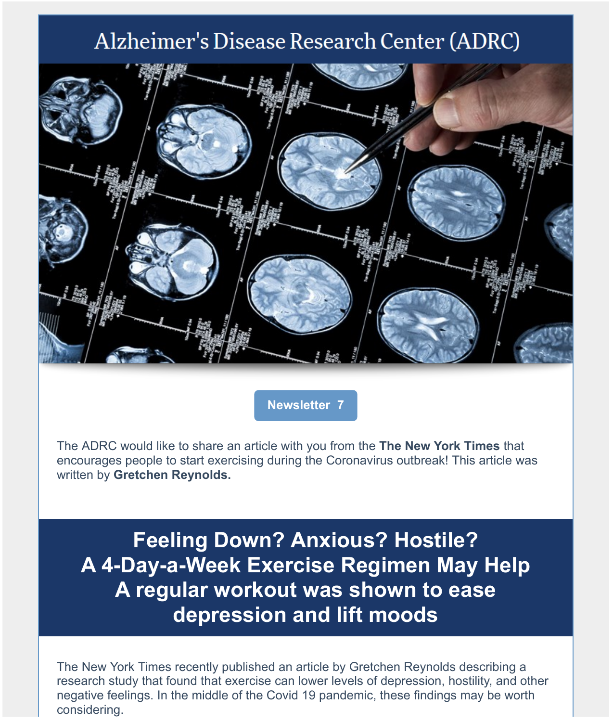# Alzheimer's Disease Research Center (ADRC)



**Newsletter 7**

The ADRC would like to share an article with you from the **The New York Times** that encourages people to start exercising during the Coronavirus outbreak! This article was written by **Gretchen Reynolds.**

**Feeling Down? Anxious? Hostile? A 4-Day-a-Week Exercise Regimen May Help A regular workout was shown to ease depression and lift moods**

The New York Times recently published an article by Gretchen Reynolds describing a research study that found that exercise can lower levels of depression, hostility, and other negative feelings. In the middle of the Covid 19 pandemic, these findings may be worth considering.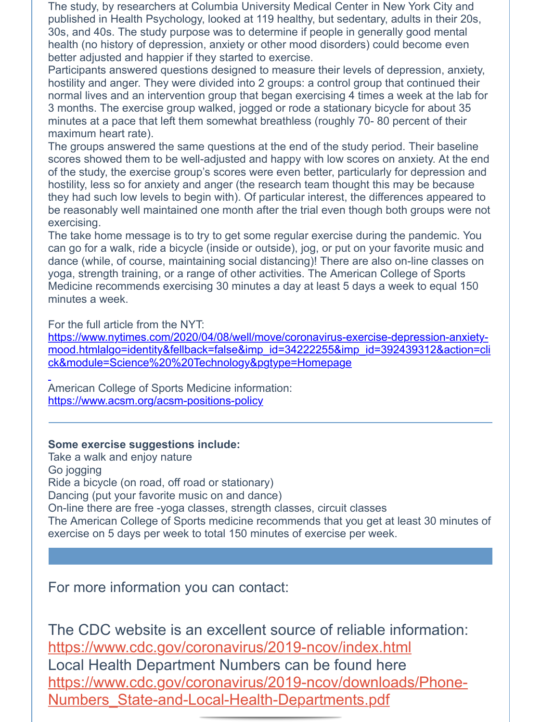The study, by researchers at Columbia University Medical Center in New York City and published in Health Psychology, looked at 119 healthy, but sedentary, adults in their 20s, 30s, and 40s. The study purpose was to determine if people in generally good mental health (no history of depression, anxiety or other mood disorders) could become even better adjusted and happier if they started to exercise.

Participants answered questions designed to measure their levels of depression, anxiety, hostility and anger. They were divided into 2 groups: a control group that continued their normal lives and an intervention group that began exercising 4 times a week at the lab for 3 months. The exercise group walked, jogged or rode a stationary bicycle for about 35 minutes at a pace that left them somewhat breathless (roughly 70- 80 percent of their maximum heart rate).

The groups answered the same questions at the end of the study period. Their baseline scores showed them to be well-adjusted and happy with low scores on anxiety. At the end of the study, the exercise group's scores were even better, particularly for depression and hostility, less so for anxiety and anger (the research team thought this may be because they had such low levels to begin with). Of particular interest, the differences appeared to be reasonably well maintained one month after the trial even though both groups were not exercising.

The take home message is to try to get some regular exercise during the pandemic. You can go for a walk, ride a bicycle (inside or outside), jog, or put on your favorite music and dance (while, of course, maintaining social distancing)! There are also on-line classes on yoga, strength training, or a range of other activities. The American College of Sports Medicine recommends exercising 30 minutes a day at least 5 days a week to equal 150 minutes a week.

For the full article from the NYT:

https://www.nytimes.com/2020/04/08/well/move/coronavirus-exercise-depression-anxietymood.htmlalgo=identity&fellback=false&imp\_id=34222255&imp\_id=392439312&action=cli ck&module=Science%20%20Technology&pgtype=Homepage

American College of Sports Medicine information: https://www.acsm.org/acsm-positions-policy

#### **Some exercise suggestions include:**

Take a walk and enjoy nature Go jogging Ride a bicycle (on road, off road or stationary) Dancing (put your favorite music on and dance) On-line there are free -yoga classes, strength classes, circuit classes The American College of Sports medicine recommends that you get at least 30 minutes of exercise on 5 days per week to total 150 minutes of exercise per week.

For more information you can contact:

The CDC website is an excellent source of reliable information: https://www.cdc.gov/coronavirus/2019-ncov/index.html Local Health Department Numbers can be found here https://www.cdc.gov/coronavirus/2019-ncov/downloads/Phone-Numbers\_State-and-Local-Health-Departments.pdf